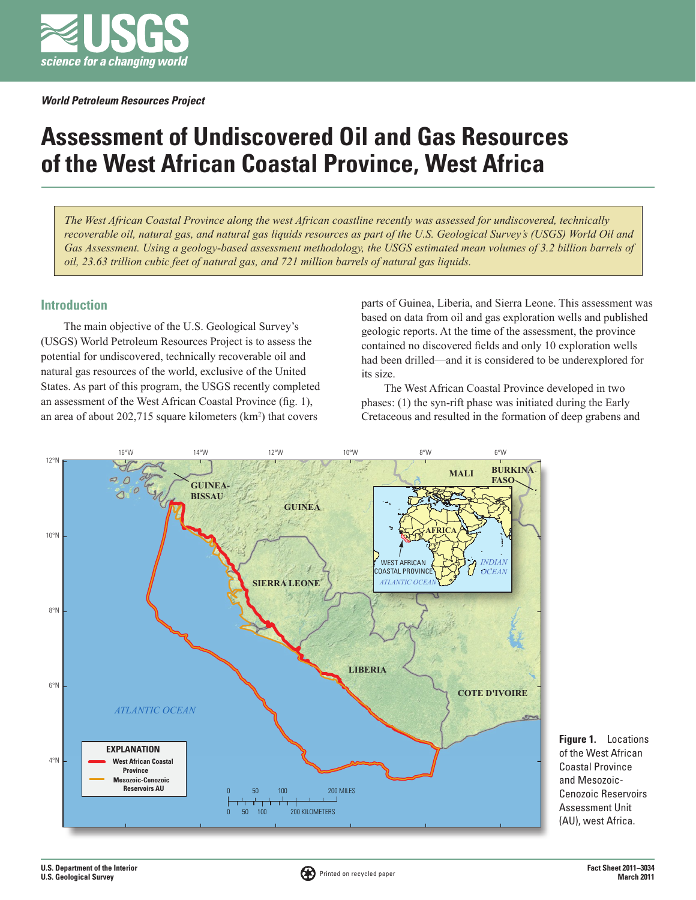

# **Assessment of Undiscovered Oil and Gas Resources of the West African Coastal Province, West Africa**

*The West African Coastal Province along the west African coastline recently was assessed for undiscovered, technically recoverable oil, natural gas, and natural gas liquids resources as part of the U.S. Geological Survey's (USGS) World Oil and Gas Assessment. Using a geology-based assessment methodology, the USGS estimated mean volumes of 3.2 billion barrels of oil, 23.63 trillion cubic feet of natural gas, and 721 million barrels of natural gas liquids.*

## **Introduction**

The main objective of the U.S. Geological Survey's (USGS) World Petroleum Resources Project is to assess the potential for undiscovered, technically recoverable oil and natural gas resources of the world, exclusive of the United States. As part of this program, the USGS recently completed an assessment of the West African Coastal Province (fig. 1), an area of about  $202,715$  square kilometers ( $km<sup>2</sup>$ ) that covers

parts of Guinea, Liberia, and Sierra Leone. This assessment was based on data from oil and gas exploration wells and published geologic reports. At the time of the assessment, the province contained no discovered fields and only 10 exploration wells had been drilled—and it is considered to be underexplored for its size.

The West African Coastal Province developed in two phases: (1) the syn-rift phase was initiated during the Early Cretaceous and resulted in the formation of deep grabens and



**Figure 1.** Locations of the West African Coastal Province and Mesozoic-Cenozoic Reservoirs Assessment Unit (AU), west Africa.